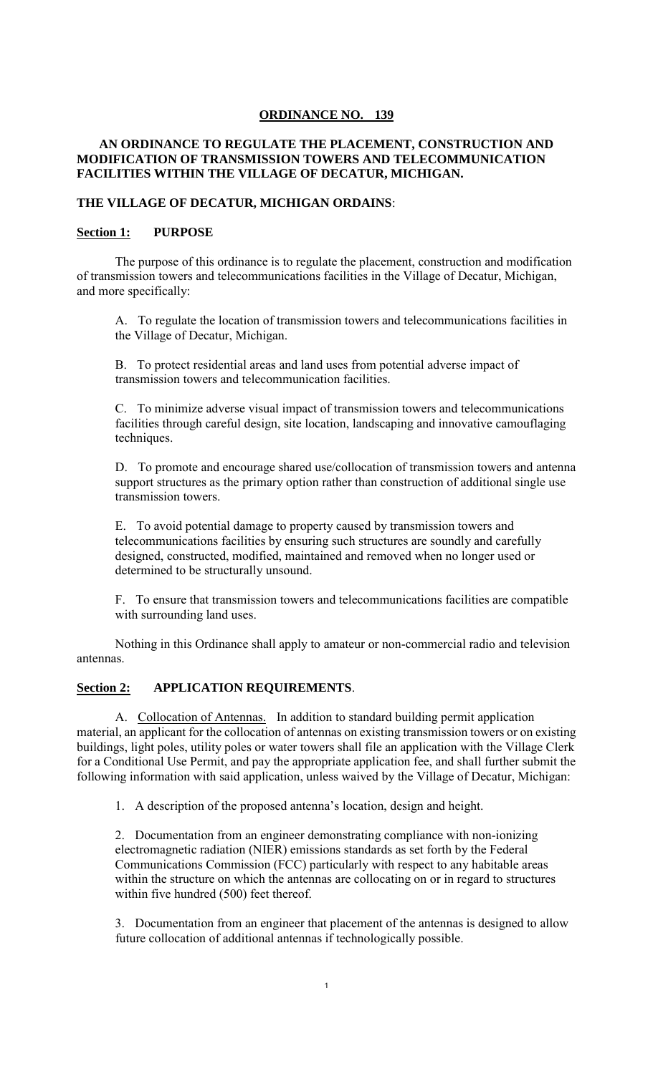### **ORDINANCE NO. 139**

## **AN ORDINANCE TO REGULATE THE PLACEMENT, CONSTRUCTION AND MODIFICATION OF TRANSMISSION TOWERS AND TELECOMMUNICATION FACILITIES WITHIN THE VILLAGE OF DECATUR, MICHIGAN.**

### **THE VILLAGE OF DECATUR, MICHIGAN ORDAINS**:

#### **Section 1: PURPOSE**

The purpose of this ordinance is to regulate the placement, construction and modification of transmission towers and telecommunications facilities in the Village of Decatur, Michigan, and more specifically:

A. To regulate the location of transmission towers and telecommunications facilities in the Village of Decatur, Michigan.

B. To protect residential areas and land uses from potential adverse impact of transmission towers and telecommunication facilities.

C. To minimize adverse visual impact of transmission towers and telecommunications facilities through careful design, site location, landscaping and innovative camouflaging techniques.

D. To promote and encourage shared use/collocation of transmission towers and antenna support structures as the primary option rather than construction of additional single use transmission towers.

E. To avoid potential damage to property caused by transmission towers and telecommunications facilities by ensuring such structures are soundly and carefully designed, constructed, modified, maintained and removed when no longer used or determined to be structurally unsound.

F. To ensure that transmission towers and telecommunications facilities are compatible with surrounding land uses.

Nothing in this Ordinance shall apply to amateur or non-commercial radio and television antennas.

#### **Section 2: APPLICATION REQUIREMENTS**.

A. Collocation of Antennas. In addition to standard building permit application material, an applicant for the collocation of antennas on existing transmission towers or on existing buildings, light poles, utility poles or water towers shall file an application with the Village Clerk for a Conditional Use Permit, and pay the appropriate application fee, and shall further submit the following information with said application, unless waived by the Village of Decatur, Michigan:

1. A description of the proposed antenna's location, design and height.

2. Documentation from an engineer demonstrating compliance with non-ionizing electromagnetic radiation (NIER) emissions standards as set forth by the Federal Communications Commission (FCC) particularly with respect to any habitable areas within the structure on which the antennas are collocating on or in regard to structures within five hundred (500) feet thereof.

3. Documentation from an engineer that placement of the antennas is designed to allow future collocation of additional antennas if technologically possible.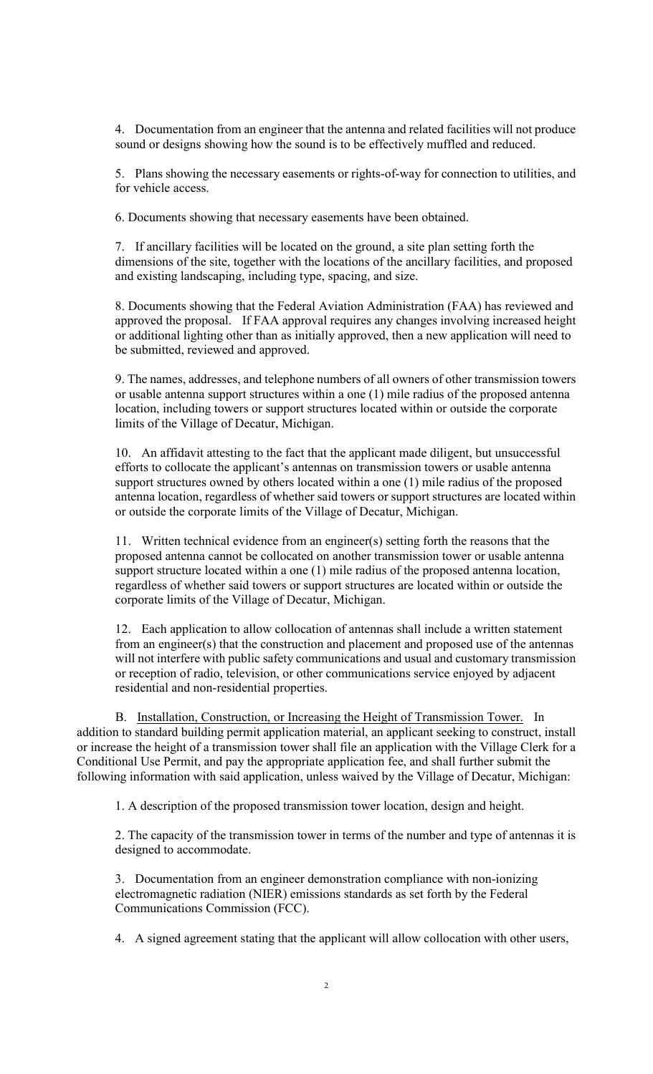4. Documentation from an engineer that the antenna and related facilities will not produce sound or designs showing how the sound is to be effectively muffled and reduced.

5. Plans showing the necessary easements or rights-of-way for connection to utilities, and for vehicle access.

6. Documents showing that necessary easements have been obtained.

7. If ancillary facilities will be located on the ground, a site plan setting forth the dimensions of the site, together with the locations of the ancillary facilities, and proposed and existing landscaping, including type, spacing, and size.

8. Documents showing that the Federal Aviation Administration (FAA) has reviewed and approved the proposal. If FAA approval requires any changes involving increased height or additional lighting other than as initially approved, then a new application will need to be submitted, reviewed and approved.

9. The names, addresses, and telephone numbers of all owners of other transmission towers or usable antenna support structures within a one (1) mile radius of the proposed antenna location, including towers or support structures located within or outside the corporate limits of the Village of Decatur, Michigan.

10. An affidavit attesting to the fact that the applicant made diligent, but unsuccessful efforts to collocate the applicant's antennas on transmission towers or usable antenna support structures owned by others located within a one (1) mile radius of the proposed antenna location, regardless of whether said towers or support structures are located within or outside the corporate limits of the Village of Decatur, Michigan.

11. Written technical evidence from an engineer(s) setting forth the reasons that the proposed antenna cannot be collocated on another transmission tower or usable antenna support structure located within a one (1) mile radius of the proposed antenna location, regardless of whether said towers or support structures are located within or outside the corporate limits of the Village of Decatur, Michigan.

12. Each application to allow collocation of antennas shall include a written statement from an engineer(s) that the construction and placement and proposed use of the antennas will not interfere with public safety communications and usual and customary transmission or reception of radio, television, or other communications service enjoyed by adjacent residential and non-residential properties.

 B. Installation, Construction, or Increasing the Height of Transmission Tower. In addition to standard building permit application material, an applicant seeking to construct, install or increase the height of a transmission tower shall file an application with the Village Clerk for a Conditional Use Permit, and pay the appropriate application fee, and shall further submit the following information with said application, unless waived by the Village of Decatur, Michigan:

1. A description of the proposed transmission tower location, design and height.

2. The capacity of the transmission tower in terms of the number and type of antennas it is designed to accommodate.

3. Documentation from an engineer demonstration compliance with non-ionizing electromagnetic radiation (NIER) emissions standards as set forth by the Federal Communications Commission (FCC).

4. A signed agreement stating that the applicant will allow collocation with other users,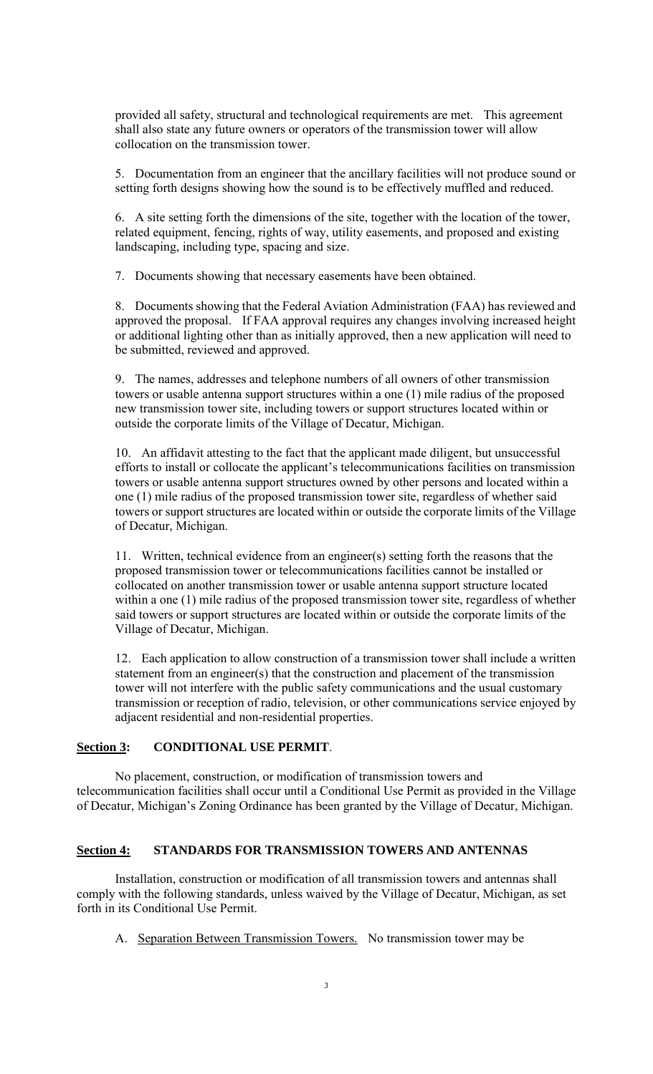provided all safety, structural and technological requirements are met. This agreement shall also state any future owners or operators of the transmission tower will allow collocation on the transmission tower.

5. Documentation from an engineer that the ancillary facilities will not produce sound or setting forth designs showing how the sound is to be effectively muffled and reduced.

6. A site setting forth the dimensions of the site, together with the location of the tower, related equipment, fencing, rights of way, utility easements, and proposed and existing landscaping, including type, spacing and size.

7. Documents showing that necessary easements have been obtained.

8. Documents showing that the Federal Aviation Administration (FAA) has reviewed and approved the proposal. If FAA approval requires any changes involving increased height or additional lighting other than as initially approved, then a new application will need to be submitted, reviewed and approved.

9. The names, addresses and telephone numbers of all owners of other transmission towers or usable antenna support structures within a one (1) mile radius of the proposed new transmission tower site, including towers or support structures located within or outside the corporate limits of the Village of Decatur, Michigan.

10. An affidavit attesting to the fact that the applicant made diligent, but unsuccessful efforts to install or collocate the applicant's telecommunications facilities on transmission towers or usable antenna support structures owned by other persons and located within a one (1) mile radius of the proposed transmission tower site, regardless of whether said towers or support structures are located within or outside the corporate limits of the Village of Decatur, Michigan.

11. Written, technical evidence from an engineer(s) setting forth the reasons that the proposed transmission tower or telecommunications facilities cannot be installed or collocated on another transmission tower or usable antenna support structure located within a one (1) mile radius of the proposed transmission tower site, regardless of whether said towers or support structures are located within or outside the corporate limits of the Village of Decatur, Michigan.

12. Each application to allow construction of a transmission tower shall include a written statement from an engineer(s) that the construction and placement of the transmission tower will not interfere with the public safety communications and the usual customary transmission or reception of radio, television, or other communications service enjoyed by adjacent residential and non-residential properties.

#### **Section 3: CONDITIONAL USE PERMIT**.

No placement, construction, or modification of transmission towers and telecommunication facilities shall occur until a Conditional Use Permit as provided in the Village of Decatur, Michigan's Zoning Ordinance has been granted by the Village of Decatur, Michigan.

# **Section 4: STANDARDS FOR TRANSMISSION TOWERS AND ANTENNAS**

Installation, construction or modification of all transmission towers and antennas shall comply with the following standards, unless waived by the Village of Decatur, Michigan, as set forth in its Conditional Use Permit.

A. Separation Between Transmission Towers. No transmission tower may be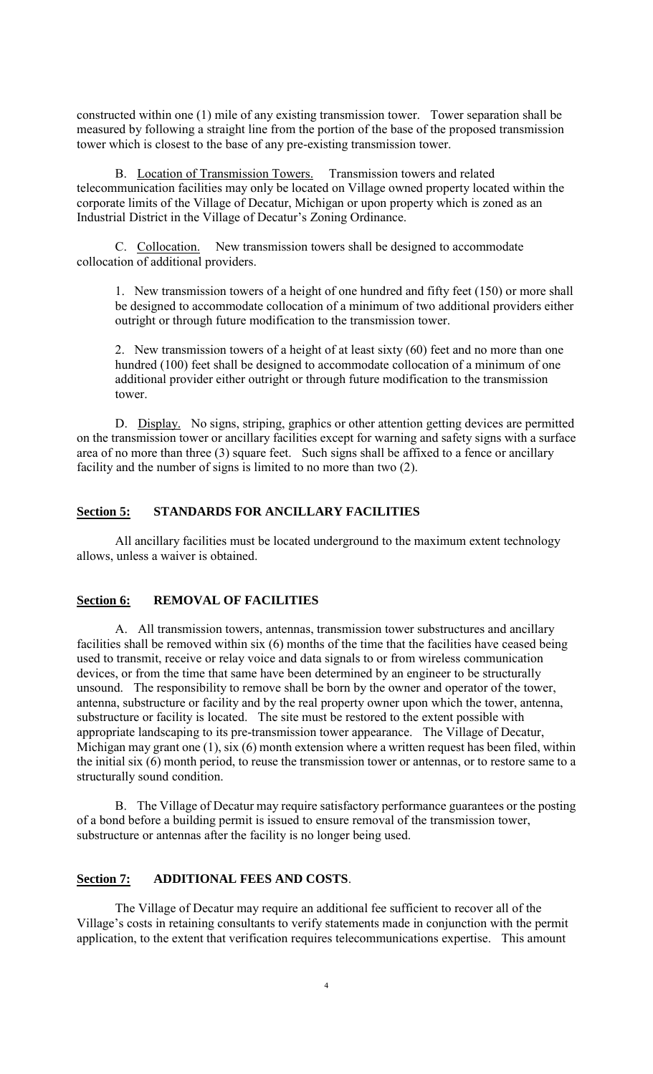constructed within one (1) mile of any existing transmission tower. Tower separation shall be measured by following a straight line from the portion of the base of the proposed transmission tower which is closest to the base of any pre-existing transmission tower.

B. Location of Transmission Towers. Transmission towers and related telecommunication facilities may only be located on Village owned property located within the corporate limits of the Village of Decatur, Michigan or upon property which is zoned as an Industrial District in the Village of Decatur's Zoning Ordinance.

C. Collocation. New transmission towers shall be designed to accommodate collocation of additional providers.

1. New transmission towers of a height of one hundred and fifty feet (150) or more shall be designed to accommodate collocation of a minimum of two additional providers either outright or through future modification to the transmission tower.

2. New transmission towers of a height of at least sixty (60) feet and no more than one hundred (100) feet shall be designed to accommodate collocation of a minimum of one additional provider either outright or through future modification to the transmission tower.

D. Display. No signs, striping, graphics or other attention getting devices are permitted on the transmission tower or ancillary facilities except for warning and safety signs with a surface area of no more than three (3) square feet. Such signs shall be affixed to a fence or ancillary facility and the number of signs is limited to no more than two (2).

### **Section 5: STANDARDS FOR ANCILLARY FACILITIES**

All ancillary facilities must be located underground to the maximum extent technology allows, unless a waiver is obtained.

# **Section 6: REMOVAL OF FACILITIES**

A. All transmission towers, antennas, transmission tower substructures and ancillary facilities shall be removed within six (6) months of the time that the facilities have ceased being used to transmit, receive or relay voice and data signals to or from wireless communication devices, or from the time that same have been determined by an engineer to be structurally unsound. The responsibility to remove shall be born by the owner and operator of the tower, antenna, substructure or facility and by the real property owner upon which the tower, antenna, substructure or facility is located. The site must be restored to the extent possible with appropriate landscaping to its pre-transmission tower appearance. The Village of Decatur, Michigan may grant one (1), six (6) month extension where a written request has been filed, within the initial six (6) month period, to reuse the transmission tower or antennas, or to restore same to a structurally sound condition.

B. The Village of Decatur may require satisfactory performance guarantees or the posting of a bond before a building permit is issued to ensure removal of the transmission tower, substructure or antennas after the facility is no longer being used.

### **Section 7: ADDITIONAL FEES AND COSTS**.

The Village of Decatur may require an additional fee sufficient to recover all of the Village's costs in retaining consultants to verify statements made in conjunction with the permit application, to the extent that verification requires telecommunications expertise. This amount